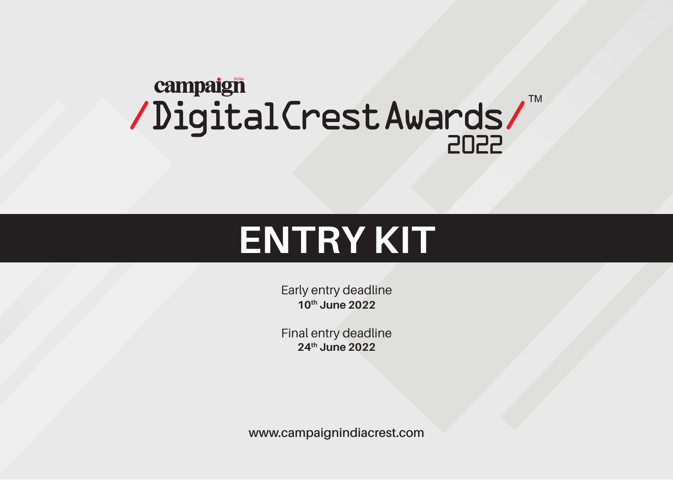# campaign TM /DigitalCrestAwards/

# **ENTRY KIT**

Early entry deadline **10th June 2022** 

Final entry deadline 24<sup>th</sup> June 2022

www.campaignindiacrest.com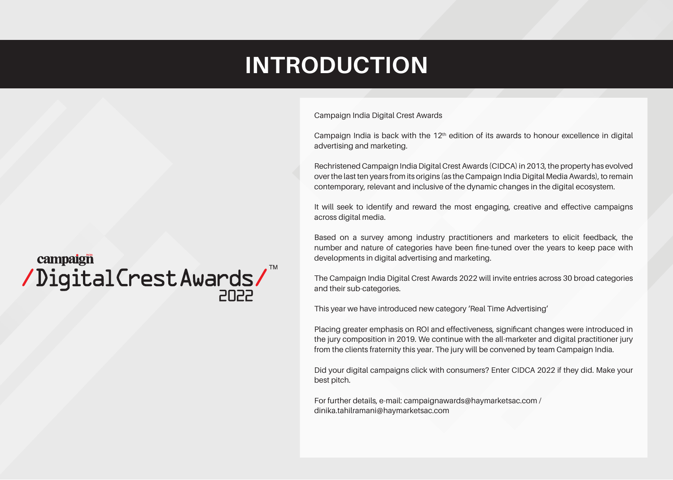## **INTRODUCTION**

Campaign India Digital Crest Awards

Campaign India is back with the  $12<sup>th</sup>$  edition of its awards to honour excellence in digital advertising and marketing.

Rechristened Campaign India Digital Crest Awards (CIDCA) in 2013, the property has evolved over the last ten years from its origins (as the Campaign India Digital Media Awards), to remain contemporary, relevant and inclusive of the dynamic changes in the digital ecosystem.

It will seek to identify and reward the most engaging, creative and effective campaigns across digital media.

Based on a survey among industry practitioners and marketers to elicit feedback, the number and nature of categories have been fine-tuned over the years to keep pace with developments in digital advertising and marketing.

The Campaign India Digital Crest Awards 2022 will invite entries across 30 broad categories and their sub-categories.

This year we have introduced new category 'Real Time Advertising'

Placing greater emphasis on ROI and effectiveness, significant changes were introduced in the jury composition in 2019. We continue with the all-marketer and digital practitioner jury from the clients fraternity this year. The jury will be convened by team Campaign India.

Did your digital campaigns click with consumers? Enter CIDCA 2022 if they did. Make your best pitch.

For further details, e-mail: campaignawards@haymarketsac.com / dinika.tahilramani@haymarketsac.com

## campaign /DigitalCrestAwards/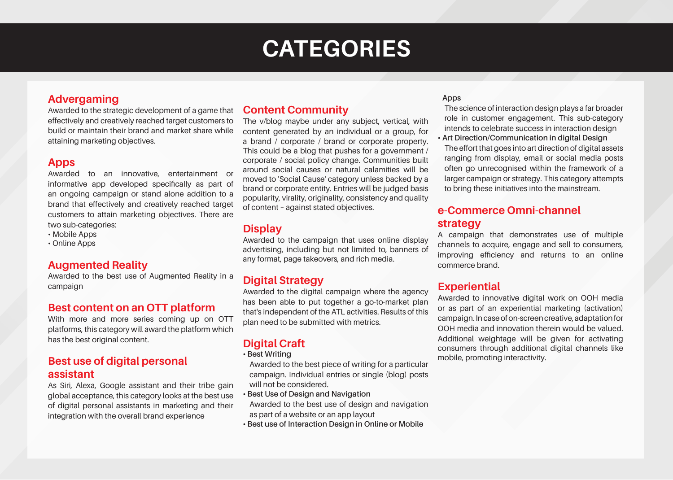## **CATEGORIES**

#### **Advergaming**

Awarded to the strategic development of a game that effectively and creatively reached target customers to build or maintain their brand and market share while attaining marketing objectives.

#### **Apps**

Awarded to an innovative, entertainment or informative app developed specifically as part of an ongoing campaign or stand alone addition to a brand that effectively and creatively reached target customers to attain marketing objectives. There are two sub-categories:

- Mobile Apps
- Online Apps

#### **Augmented Reality**

Awarded to the best use of Augmented Reality in a campaign

#### **Best content on an OTT platform**

With more and more series coming up on OTT platforms, this category will award the platform which has the best original content.

#### **Best use of digital personal assistant**

As Siri, Alexa, Google assistant and their tribe gain global acceptance, this category looks at the best use of digital personal assistants in marketing and their integration with the overall brand experience

#### **Community Content**

The v/blog maybe under any subject, vertical, with content generated by an individual or a group, for a brand / corporate / brand or corporate property. This could be a blog that pushes for a government / corporate / social policy change. Communities built around social causes or natural calamities will be moved to 'Social Cause' category unless backed by a brand or corporate entity. Entries will be judged basis popularity, virality, originality, consistency and quality of content - against stated objectives.

#### **Display**

Awarded to the campaign that uses online display advertising, including but not limited to, banners of any format, page takeovers, and rich media.

#### **Digital Strategy**

Awarded to the digital campaign where the agency has been able to put together a go-to-market plan that's independent of the ATL activities. Results of this plan need to be submitted with metrics.

#### **Digital Craft**

#### **· Best Writing**

Awarded to the best piece of writing for a particular campaign. Individual entries or single (blog) posts will not be considered.

- **Best Use of Design and Navigation** Awarded to the best use of design and navigation as part of a website or an app layout
- **· Best use of Interaction Design in Online or Mobile**

#### **Apps**

The science of interaction design plays a far broader role in customer engagement. This sub-category intends to celebrate success in interaction design **Art Direction/Communication in digital Design** 

The effort that goes into art direction of digital assets ranging from display, email or social media posts often go unrecognised within the framework of a larger campaign or strategy. This category attempts to bring these initiatives into the mainstream.

#### **e-Commerce Omni-channel strategy**

A campaign that demonstrates use of multiple channels to acquire, engage and sell to consumers, improving efficiency and returns to an online commerce brand

#### **Experiential**

Awarded to innovative digital work on OOH media or as part of an experiential marketing (activation) campaign. In case of on-screen creative, adaptation for OOH media and innovation therein would be valued. Additional weightage will be given for activating consumers through additional digital channels like mobile, promoting interactivity.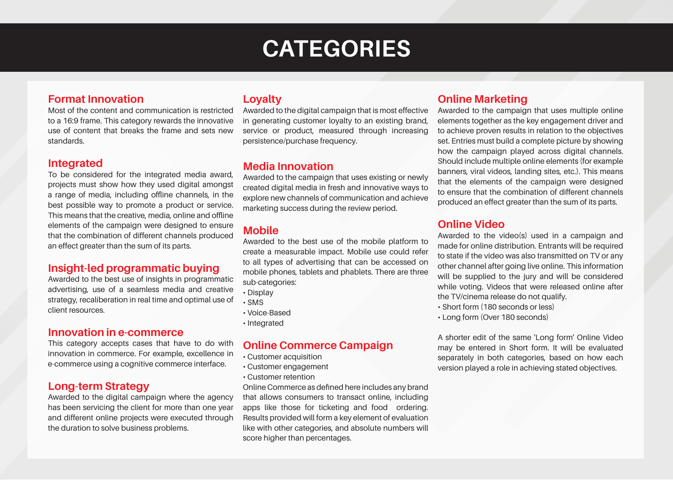### **CATEGORIES**

#### **Format Innovation**

Most of the content and communication is restricted to a 16:9 frame. This category rewards the innovative use of content that breaks the frame and sets new .standards

#### **Integrated**

To be considered for the integrated media award, projects must show how they used digital amongst a range of media, including offline channels, in the best possible way to promote a product or service. This means that the creative, media, online and offline elements of the campaign were designed to ensure that the combination of different channels produced an effect greater than the sum of its parts.

#### **buying insight-led programmatic buying**

Awarded to the best use of insights in programmatic advertising, use of a seamless media and creative strategy, recaliberation in real time and optimal use of client resources.

#### **Innovation in e-commerce**

This category accepts cases that have to do with innovation in commerce. For example, excellence in e-commerce using a cognitive commerce interface.

#### **Long-term Strategy**

Awarded to the digital campaign where the agency has been servicing the client for more than one year and different online projects were executed through the duration to solve business problems.

#### **Loyalty**

Awarded to the digital campaign that is most effective in generating customer loyalty to an existing brand, service or product, measured through increasing persistence/purchase frequency.

#### **Media Innovation**

Awarded to the campaign that uses existing or newly created digital media in fresh and innovative ways to explore new channels of communication and achieve marketing success during the review period.

#### **Mobile**

Awarded to the best use of the mobile platform to create a measurable impact. Mobile use could refer to all types of advertising that can be accessed on mobile phones, tablets and phablets. There are three sub-categories:

- Display
- SMS•
- Voice-Based
- Integrated

#### **Commerce Campaign**

- Customer acquisition
- Customer engagement
- Customer retention

Online Commerce as defined here includes any brand that allows consumers to transact online, including apps like those for ticketing and food ordering. Results provided will form a key element of evaluation like with other categories, and absolute numbers will score higher than percentages.

#### **Online Marketing**

Awarded to the campaign that uses multiple online elements together as the key engagement driver and to achieve proven results in relation to the objectives set. Entries must build a complete picture by showing how the campaign played across digital channels. Should include multiple online elements (for example banners, viral videos, landing sites, etc.). This means that the elements of the campaign were designed to ensure that the combination of different channels produced an effect greater than the sum of its parts.

#### **Online Video**

Awarded to the video  $(s)$  used in a campaign and made for online distribution. Entrants will be required to state if the video was also transmitted on TV or any other channel after going live online. This information will be supplied to the jury and will be considered while voting. Videos that were released online after the TV/cinema release do not qualify.

- Short form (180 seconds or less)
- Long form (Over 180 seconds)

A shorter edit of the same 'Long form' Online Video may be entered in Short form. It will be evaluated separately in both categories, based on how each version played a role in achieving stated objectives.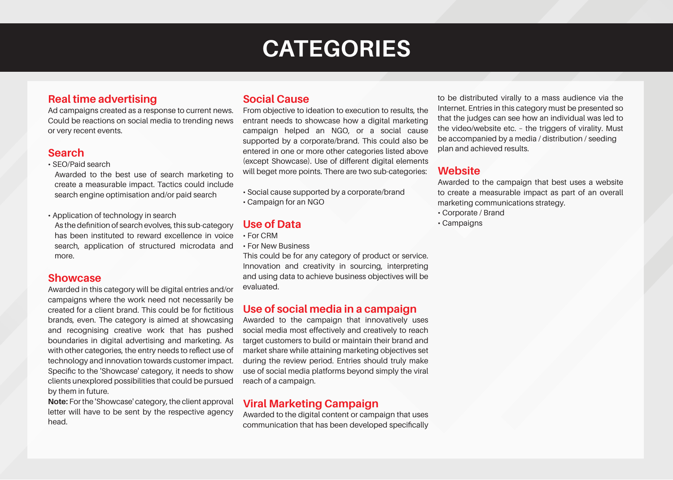### **CATEGORIES**

#### **Real time advertising**

Ad campaigns created as a response to current news. Could be reactions on social media to trending news or very recent events.

#### **Search**

• SEO/Paid search

Awarded to the best use of search marketing to create a measurable impact. Tactics could include search engine optimisation and/or paid search

• Application of technology in search As the definition of search evolves, this sub-category has been instituted to reward excellence in voice search, application of structured microdata and more.

#### **Showcase**

Awarded in this category will be digital entries and/or campaigns where the work need not necessarily be created for a client brand. This could be for fictitious brands, even. The category is aimed at showcasing and recognising creative work that has pushed boundaries in digital advertising and marketing. As with other categories, the entry needs to reflect use of technology and innovation towards customer impact. Specific to the 'Showcase' category, it needs to show clients unexplored possibilities that could be pursued by them in future.

Note: For the 'Showcase' category, the client approval letter will have to be sent by the respective agency head.

#### **Social Cause**

From objective to ideation to execution to results, the entrant needs to showcase how a digital marketing campaign helped an NGO, or a social cause supported by a corporate/brand. This could also be entered in one or more other categories listed above (except Showcase). Use of different digital elements will beget more points. There are two sub-categories:

- Social cause supported by a corporate/brand
- Campaign for an NGO

#### **Use of Data**

- For CRM
- For New Business

This could be for any category of product or service. Innovation and creativity in sourcing, interpreting and using data to achieve business objectives will be .evaluated

#### **Leapering Use of social media in a campaign**

Awarded to the campaign that innovatively uses social media most effectively and creatively to reach target customers to build or maintain their brand and market share while attaining marketing objectives set during the review period. Entries should truly make use of social media platforms beyond simply the viral reach of a campaign.

#### **Viral Marketing Campaign**

Awarded to the digital content or campaign that uses communication that has been developed specifically

to be distributed virally to a mass audience via the Internet. Entries in this category must be presented so that the judges can see how an individual was led to the video/website etc. - the triggers of virality. Must be accompanied by a media / distribution / seeding plan and achieved results.

#### **Website**

Awarded to the campaign that best uses a website to create a measurable impact as part of an overall marketing communications strategy.

- Corporate / Brand
- Campaigns•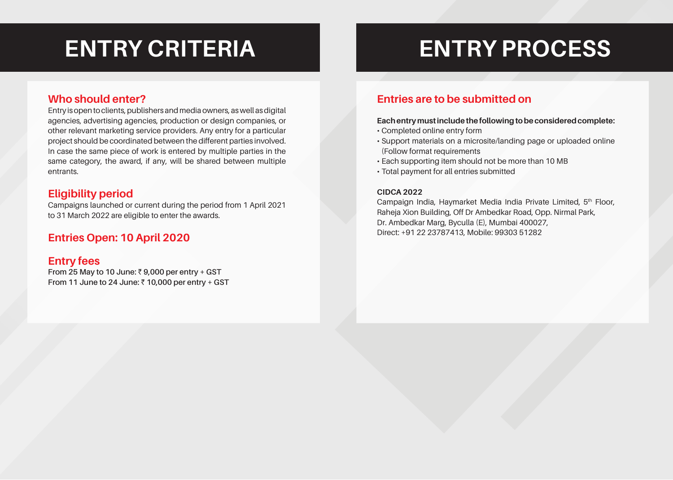# **PROCESS ENTRY PROCESS**

#### **Who should enter?**

Entry is open to clients, publishers and media owners, as well as digital agencies, advertising agencies, production or design companies, or other relevant marketing service providers. Any entry for a particular project should be coordinated between the different parties involved. In case the same piece of work is entered by multiple parties in the same category, the award, if any, will be shared between multiple .entrants

#### **Eligibility** period

Campaigns launched or current during the period from 1 April 2021 to 31 March 2022 are eligible to enter the awards.

#### **2020** Entries Open: 10 April 2020

#### **Entry** fees

From 25 May to 10 June:  $\bar{z}$  9,000 per entry + GST **From 11 June to 24 June: ₹ 10,000 per entry + GST** 

#### **Entries are to be submitted on**

#### **Each entry must include the following to be considered complete:**

- Completed online entry form
- Support materials on a microsite/landing page or uploaded online (Follow format requirements
- Each supporting item should not be more than 10 MB
- Total payment for all entries submitted

#### **2022 CIDCA**

Campaign India, Haymarket Media India Private Limited, 5<sup>th</sup> Floor, Raheja Xion Building, Off Dr Ambedkar Road, Opp. Nirmal Park, Dr. Ambedkar Marg, Byculla (E), Mumbai 400027, Direct: +91 22 23787413, Mobile: 99303 51282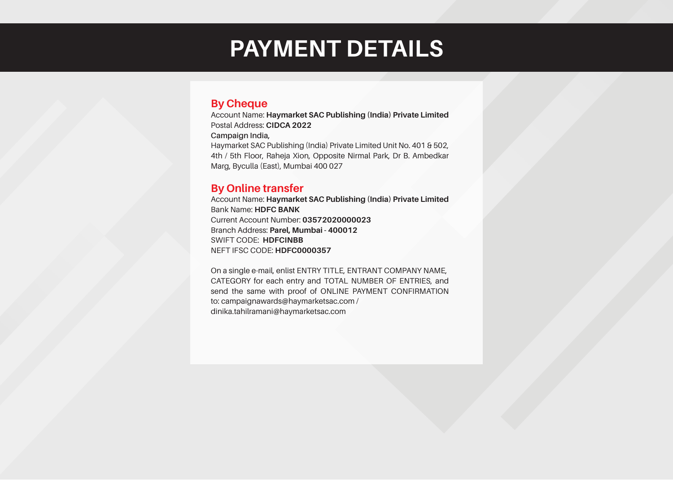### **PAYMENT DETAILS**

#### **By Cheque**

Account Name: Haymarket SAC Publishing (India) Private Limited Postal Address: CIDCA 2022 **Campaign India,** Haymarket SAC Publishing (India) Private Limited Unit No. 401 & 502, 4th / 5th Floor, Raheja Xion, Opposite Nirmal Park, Dr B. Ambedkar Marg, Byculla (East), Mumbai 400 027

#### **By Online transfer**

Account Name: Haymarket SAC Publishing (India) Private Limited **Bank Name: HDFC BANK** Current Account Number: 03572020000023 **Branch Address: Parel, Mumbai - 400012 SWIFT CODE: HDFCINBB NEFT IFSC CODE: HDFC0000357** 

On a single e-mail, enlist ENTRY TITLE, ENTRANT COMPANY NAME, CATEGORY for each entry and TOTAL NUMBER OF ENTRIES, and send the same with proof of ONLINE PAYMENT CONFIRMATION to: campaignawards@haymarketsac.com / dinika.tahilramani@haymarketsac.com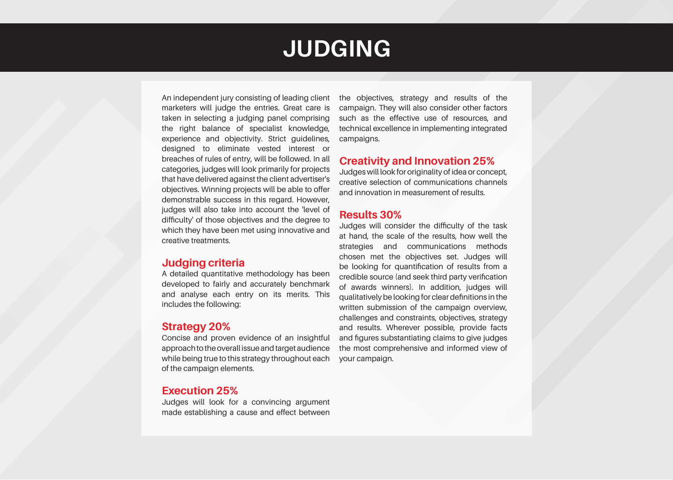### **JUDGING**

An independent jury consisting of leading client marketers will judge the entries. Great care is taken in selecting a judging panel comprising the right balance of specialist knowledge, experience and objectivity. Strict guidelines, designed to eliminate vested interest or breaches of rules of entry, will be followed. In all categories, judges will look primarily for projects that have delivered against the client advertiser's objectives. Winning projects will be able to offer demonstrable success in this regard. However, judges will also take into account the 'level of difficulty' of those objectives and the degree to which they have been met using innovative and creative treatments

#### **criteria Judging**

A detailed quantitative methodology has been developed to fairly and accurately benchmark and analyse each entry on its merits. This includes the following:

#### **20% Strategy**

Concise and proven evidence of an insightful approach to the overall issue and target audience while being true to this strategy throughout each of the campaign elements.

#### **25% Execution**

Judges will look for a convincing argument made establishing a cause and effect between

the objectives, strategy and results of the campaign. They will also consider other factors such as the effective use of resources, and technical excellence in implementing integrated .campaigns

#### **25% Creativity and Innovation 25%**

Judges will look for originality of idea or concept, creative selection of communications channels and innovation in measurement of results.

#### **30% Results**

Judges will consider the difficulty of the task at hand, the scale of the results, how well the strategies and communications methods chosen met the objectives set. Judges will be looking for quantification of results from a credible source (and seek third party verification of awards winners). In addition, judges will qualitatively be looking for clear definitions in the written submission of the campaign overview, challenges and constraints, objectives, strategy and results. Wherever possible, provide facts and figures substantiating claims to give judges the most comprehensive and informed view of your campaign.